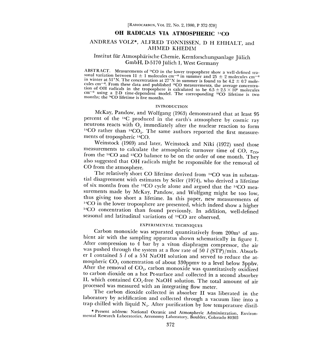# OH RADICALS VIA ATMOSPHERIC <sup>14</sup>CO

## ANDREAS VOLZ\*, ALFRED TONNISSEN, D H EHHALT, and AHMED KHEDIM

## Institut fur Atmospharische Chemie, Kernforschungsanlage Julich GmbH, D-5170 Jülich 1, West Germany

ABSTRACT. Measurements of <sup>14</sup>CO in the lower troposphere show a well-defined seasonal variation between  $11 \pm 1$  molecules cm<sup>-3</sup> in summer and 25  $\pm$  2 molecules cm<sup>-3</sup> in winter at 51°N. The concentration at 27°N in s cules cm<sup>-3</sup>. From these data and published <sup>12</sup>CO measurements, the average concentration of OH radicals in the troposphere is calculated to be  $6.5 \pm 2.5 \times 10^5$  molecules cm<sup>-3</sup> using a 2-D time-dependent model. The co

### INTRODUCTION

McKay, Pandow, and Wolfgang (1963) demonstrated that at least 95 percent of the <sup>14</sup>C produced in the earth's atmosphere by cosmic ray neutrons reacts with  $O_2$  immediately after the nuclear reaction to form <sup>14</sup>CO rather than <sup>14</sup>CO<sub>2</sub>. The same authors reported the first measurements of tropospheric <sup>14</sup>CO.

Weinstock (1969) and later, Weinstock and Niki (1972) used those measurements to calculate the atmospheric turnover time of CO,  $\tau_{\text{CO}}$ from the <sup>14</sup>CO and <sup>12</sup>CO balance to be on the order of one month. They also suggested that OH radicals might be responsible for the removal of CO from the atmosphere.<br>The relatively short CO lifetime derived from <sup>14</sup>CO was in substan-

tial disagreement with estimates by Seiler (1974), who derived a lifetime of six months from the <sup>12</sup>CO cycle alone and argued that the <sup>14</sup>CO measurements made by McKay, Pandow, and Wolfgang might be too low,<br>thus giving too short a lifetime. In this paper, new measurements of<br><sup>14</sup>CO in the lower troposphere are presented, which indeed show a higher<br><sup>14</sup>CO concentr seasonal and latitudinal variations of <sup>14</sup>CO are observed.

### EXPERIMENTAL TECHNIQUES

Carbon monoxide was separated quantitatively from 200m3 of am- bient air with the sampling apparatus shown schematically in figure 1. After compression to 4 bar by a viton diaphragm compressor, the air was pushed through the system at a flow rate of 50 l (STP)/min. Absorber I contained 5 l of a 5M NaOH solution and served to reduce the atmospheric  $CO<sub>2</sub>$  concentration of about 330ppmv to a level below 3ppbv.<br>After the removal of  $CO<sub>2</sub>$ , carbon monoxide was quantitatively oxidized to carbon dioxide on a hot Pt-surface and collected in a second absorber II, which contained  $CO_2$ -free NaOH solution. The total amount of air processed was measured with an integrating flow meter.<br>The carbon dioxide collected in absorber II was liberated in the

Iaboratory by acidification and collected through a vacuum line into a trap chilled with liquid  $N_2$ . After purification by low temperature distil-

<sup>\*</sup> Present address: National Oceanic and Atmospheric Administration, Environ- mental Research Laboratories, Aeronomy Laboratory, Boulder, Colorado <sup>80303</sup>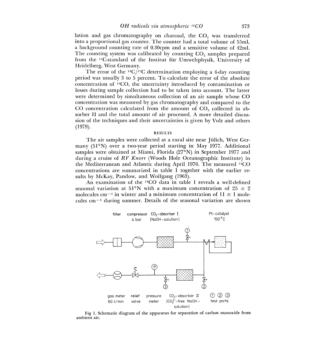lation and gas chromatography on charcoal, the  $CO<sub>2</sub>$  was transferred into a proportional gas counter. The counter had a total volume of 55m1, a background counting rate of 0.30cpm and a sensitive volume of 42m1. The counting system was calibrated by counting  $CO<sub>2</sub>$  samples prepared from the 14C-standard of the Institut fur Umweltphysik, University of Heidelberg, West Germany.

The error of the  $14C/12C$  determination employing a 4-day counting period was usually 3 to 5 percent. To calculate the error of the absolute concentration of 14C0, the uncertainty introduced by contamination or losses during sample collection had to be taken into account. The latter were determined by simultaneous collection of an air sample whose CO concentration was measured by gas chromatography and compared to the CO concentration calculated from the amount of  $CO<sub>2</sub>$  collected in absorber II and the total amount of air processed. A more detailed discussion of the techniques and their uncertainties is given by Volz and others (1979).

#### RESULTS

The air samples were collected at a rural site near Jülich, West Germany (51°N) over a two-year period starting in May 1977. Additional samples were obtained at Miami, Florida (27°N) in September 1977 and during a cruise of  $RV$  Knorr (Woods Hole Oceanographic Institute) in the Mediterranean and Atlantic during April 1976. The measured <sup>14</sup>CO concentrations are summarized in table 1 together with the earlier reentrations are summarized in table 1 together with the earlier re-<br>by McKay, Pandow, and Wolfgang (1963).<br>An examination of the <sup>14</sup>CO data in table 1 reveals a well-defined<br>angl variation at 51°N with a maximum concentra sults by McKay, Pandow, and Wolfgang (1963).

seasonal variation at 51°N with a maximum concentration of 25  $\pm$  2 molecules cm<sup>-3</sup> in winter and a minimum concentration of  $11 \pm 1$  molecules  $cm^{-3}$  during summer. Details of the seasonal variation are shown



Fig 1. Schematic diagram of the apparatus for separation of carbon monoxide from ambient air.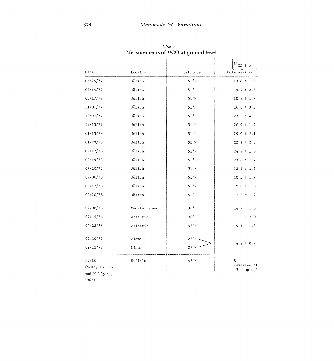| Date            | Location      | Latitude       | з<br>molecules cm         |
|-----------------|---------------|----------------|---------------------------|
| 05/25/77        | Julich        | $51^{\circ}$ N | $13.8 \pm 1.6$            |
| 07/14/77        | Jülich        | 51°N           | $9.4 \pm 2.7$             |
| 08/17/77        | Jülich        | 51°N           | $10.8 \pm 1.7$            |
| 11/01/77        | Jülich        | $51^{\circ}$ N | $16.8 \pm 3.5$            |
| 12/07/77        | Jülich        | 51°N           | $23.3 \pm 4.0$            |
| 12/13/77        | Jülich        | 51°N           | $20.9 \pm 1.4$            |
| 01/13/78        | Jülich        | 51°N           | $29.0 \pm 2.1$            |
| 01/23/78        | Jülich        | 51°N           | $22.9 \pm 2.8$            |
| 02/12/78        | Jülich        | 51°N           | $24.2 \pm 1.6$            |
| 02/19/78        | Jülich        | 51°N           | $23.8 \pm 1.7$            |
| 07/20/78        | Jülich        | 51°N           | $12.1 \pm 3.2$            |
| 09/06/78        | Jülich        | 51°N           | $10.5 \pm 1.7$            |
| 09/17/78        | Jülich        | $51^{\circ}$ N | $12.4 \pm 1.8$            |
| 09/20/78        | Jülich        | 51°N           | $12.8 \pm 1.4$            |
| 04/08/76        | Mediterranean | 36°N           | $14.7 \pm 1.5$            |
| 04/15/76        | Atlantic      | 36°N           | $15.3 \pm 2.0$            |
| 04/22/76        | Atlantic      | 43°N           | $19.1 \pm 1.8$            |
|                 |               |                |                           |
| 09/10/77        | Miami         | 27°N           | $4.2 \pm 0.7$             |
| 09/12/77        | Niami         | $27^{\circ}$ N |                           |
| 02/60           | Buffalo       | 43°N           | 8                         |
| (McKay, Pandow, |               |                | (average of<br>3 samples) |
| and Wolfgang,   |               |                |                           |

TABLE 1<br>Measurements of 14CO at ground level

1963)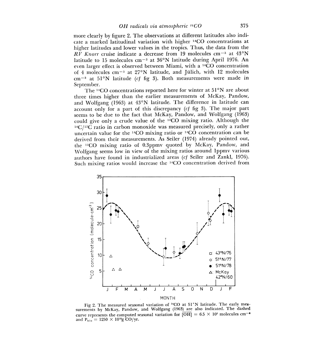more clearly by figure 2. The observations at different latitudes also indicate a marked latitudinal variation with higher 1400 concentrations at higher latitudes and lower values in the tropics. Thus, the data from the  $RV$  Knorr cruise indicate a decrease from 19 molecules cm<sup>-3</sup> at 43°N latitude to 15 molecules  $cm^{-3}$  at 36°N latitude during April 1976. An even larger effect is observed between Miami, with a <sup>14</sup>CO concentration of 4 molecules cm-3 at 27°N latitude, and Julich, with 12 molecules  $cm^{-3}$  at  $51^{\circ}N$  latitude (cf fig 3). Both measurements were made in September.

The  $^{14}CO$  concentrations reported here for winter at  $51°N$  are about three times higher than the earlier measurements of McKay, Pandow, and Wolfgang (1963) at 43°N latitude. The difference in latitude can account only for a part of this discrepancy  $(cf$  fig 3). The major part seems to be due to the fact that McKay, Pandow, and Wolfgang (1963) could give only a crude value of the  $12CO$  mixing ratio. Although the  $14C/12C$  ratio in carbon monoxide was measured precisely, only a rather uncertain value for the <sup>14</sup>CO mixing ratio or <sup>14</sup>CO concentration can be derived from their measurements. As Seiler (1974) already pointed out, the 1200 mixing ratio of 0.3ppmv quoted by McKay, Pandow, and Wolfgang seems low in view of the mixing ratios around lppmv various authors have found in industrialized areas (cf Seiler and Zankl, 1976). Such mixing ratios would increase the <sup>14</sup>CO concentration derived from



Fig 2. The measured seasonal variation of <sup>14</sup>CO at 51°N latitude. The early measurements by McKay, Pandow, and Wolfgang (1963) are also indicated. The dashed curve represents the computed seasonal variation for  $\overline{|OH|}$ and  $P_{b10} = 1250 \times 10^{12} g \text{ CO/yr}.$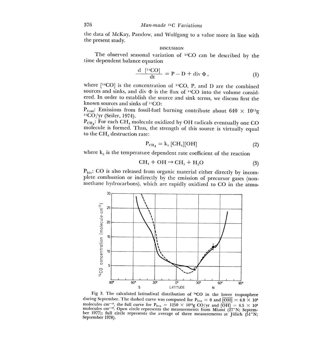the data of McKay, Pandow, and Wolfgang to a value more in line with the present study.

### DISCUSSION

The observed seasonal variation of  $14CO$  can be described by the time dependent balance equation

$$
\frac{\mathrm{d} \left[ \mathrm{^{14}CO} \right]}{\mathrm{d}t} = P - D + \mathrm{div} \, \Phi \,, \tag{1}
$$

where  $[$ <sup>14</sup>CO] is the concentration of <sup>14</sup>CO, P, and D are the combined sources and sinks, and div  $\Phi$  is the flux of <sup>14</sup>CO into the volume considered. In order to establish the source and sink terms, we discuss first the known sources and sinks of 12C0:

 $P_{foss}:$  Emissions from fossil-fuel burning contribute about 640  $\times$  10<sup>12</sup>g <sup>12</sup>CO/yr (Seiler, 1974).

 $P_{CH}$ : For each CH<sub>4</sub> molecule oxidized by OH radicals eventually one CO molecule is formed. Thus, the strength of this source is virtually equal to the  $CH<sub>4</sub>$  destruction rate:

$$
P_{\text{CH}_4} = k_3 \text{ [CH}_4\text{][OH]} \tag{2}
$$

where k<sub>3</sub> is the temperature dependent rate coefficient of the reaction<br>  $CH_4 + OH \rightarrow CH_3 + H_2O$  (3)

$$
CH4 + OH \rightarrow CH3 + H2O
$$
 (3)

 $P_{\text{bio}}$ : CO is also released from organic material either directly by incomplete combustion or indirectly by the emission of precursor gases (nonmethane hydrocarbons), which are rapidly oxidized to CO in the atmo-



Fig 3. The calculated latitudinal distribution of <sup>14</sup>CO in the lower troposphere during September. The dashed curve was computed for P<sub>bio</sub> = 0 and  $\overline{[OH]}$  = 4.8 × 10<sup>6</sup> molecules cm<sup>-3</sup>, the full curve for P<sub>bio</sub> = 12 molecules cm<sup>-3</sup>. Open circle represents the measurements from Miami ( $27^{\circ}$ N; September 1977); full circle represents the average of three measurements at Jülich ( $51^{\circ}$ N; September 1978).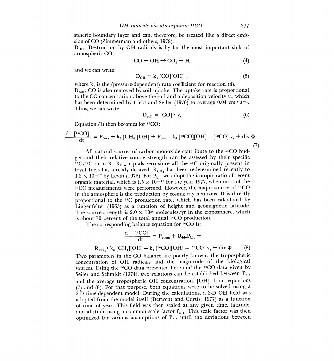spheric boundary layer and can, therefore, be treated like a direct emission of CO (Zimmerman and others, 1978).

 $D_{0H}$ : Destruction by OH radicals is by far the most important sink of atmospheric CO

$$
CO + OH \rightarrow CO2 + H
$$
 (4)

and we can write:

$$
D_{\text{OH}} = k_4 \text{[CO][OH]} , \qquad (5)
$$

where  $k_4$  is the (pressure-dependent) rate coefficient for reaction (4).  $D<sub>soil</sub>$ : CO is also removed by soil uptake. The uptake rate is proportional to the CO concentration above the soil and a deposition velocity  $v<sub>s</sub>$ , which has been determined by Liebl and Seiler (1976) to average 0.04 cm  $\cdot$  s<sup>-1</sup>. Thus, we can write:

$$
\mathbf{D}_{\text{soil}} = [\text{CO}] \cdot \mathbf{v}_{\text{s}} \tag{6}
$$

Equation (1) then becomes for  $12^{\circ}CO$ :

$$
\frac{d}{dt} \frac{[^{12}CO]}{dt} = P_{f\text{obs}} + k_3 \left[ CH_4 \right] [OH] + P_{bio} - k_4 \left[ ^{12}CO \right] [OH] - [^{12}CO] v_s + div \Phi
$$
\n(7)

All natural sources of carbon monoxide contribute to the <sup>14</sup>CO budget and their relative source strength can be assessed by their specific <sup>14</sup>C/<sup>12</sup>C ratio R. R<sub>toss</sub> equals zero since all the <sup>14</sup>C originally present in fossil fuels has already decayed.  $R_{CH_4}$  has been redetermined recently to  $1.2 \times 10^{-12}$  by Levin (1978). For  $P_{bio}$  we adopt the isotopic ratio of recent organic material, which is  $1.5 \times 10^{-12}$  for the year 1977, when most of the <sup>14</sup>CO measurements were performed. However, the major source of <sup>14</sup>CO proportional to the <sup>14</sup>C production rate, which has been calculated by the atmosphere is the production by cosmic ray neutrons. It is directly 10sial fuels has a leready decayed.  $\text{Ker}_{\text{crit}}$  has been redetermined recently to<br>1.2 × 10<sup>-12</sup> by Levin (1978). For  $\text{P}_{\text{bin}}$  we adopt the isotopic ratio of recent<br>organic material, which is  $1.5 \times 10^{-12}$  for the y Lingenfelter (1963) as a function of height and geomagnetic latitude. The source strength is  $2.0 \times 10^{26}$  molecules/yr in the troposphere, which is about 70 percent of the total annual  $^{14}CO$  production.

The corresponding balance equation for  $^{14}CO$  is:

$$
\frac{\mathrm{d} \quad [^{14}\text{CO}]}{\mathrm{d}t} = P_{\text{cosm}} + R_{\text{bio}}P_{\text{bio}} +
$$
\n
$$
R_{\text{CH}_4} \cdot k_3 \text{ [CH}_4][\text{OH}] - k_4 \text{ [}^{14}\text{CO}][\text{OH}] - \text{ [}^{14}\text{CO} \text{]} \text{ } v_s + \text{div } \Phi \tag{8}
$$

Two parameters in the CO balance are poorly known: the tropospheric concentration of OH radicals and the magnitude of the biological sources. Using the <sup>14</sup>CO data presented here and the <sup>12</sup>CO data given by Seiler and Schmidt (1974), two relations can be established between  $P_{bio}$ and the average tropospheric OH concentration, [OH], from equations (7) and (8). For that purpose, both equations were to be solved using a 2-D time-dependent model. During the calculations, a 2-D OH field was adopted from the model itself (Derwent and Curtis, 1977) as a function of time of year. This field was then scaled at any given time, latitude, and altitude using a common scale factor  $f_{\text{OH}}$ . This scale factor was then optimized for various assumptions of  $P_{bio}$  until the deviations between